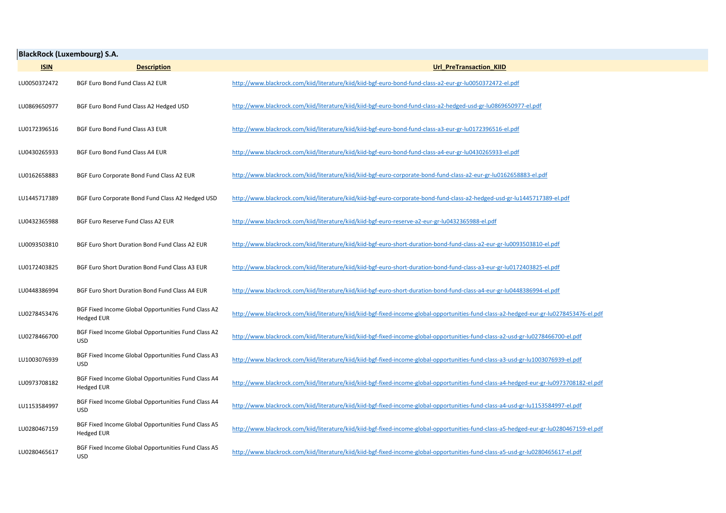| <b>BlackRock (Luxembourg) S.A.</b> |                                                                          |                                                                                                                                          |  |  |  |
|------------------------------------|--------------------------------------------------------------------------|------------------------------------------------------------------------------------------------------------------------------------------|--|--|--|
| <b>ISIN</b>                        | <b>Description</b>                                                       | Url PreTransaction KIID                                                                                                                  |  |  |  |
| LU0050372472                       | BGF Euro Bond Fund Class A2 EUR                                          | http://www.blackrock.com/kiid/literature/kiid/kiid-bgf-euro-bond-fund-class-a2-eur-gr-lu0050372472-el.pdf                                |  |  |  |
| LU0869650977                       | BGF Euro Bond Fund Class A2 Hedged USD                                   | http://www.blackrock.com/kiid/literature/kiid/kiid-bgf-euro-bond-fund-class-a2-hedged-usd-gr-lu0869650977-el.pdf                         |  |  |  |
| LU0172396516                       | BGF Euro Bond Fund Class A3 EUR                                          | http://www.blackrock.com/kiid/literature/kiid/kiid-bgf-euro-bond-fund-class-a3-eur-gr-lu0172396516-el.pdf                                |  |  |  |
| LU0430265933                       | BGF Euro Bond Fund Class A4 EUR                                          | http://www.blackrock.com/kiid/literature/kiid/kiid-bgf-euro-bond-fund-class-a4-eur-gr-lu0430265933-el.pdf                                |  |  |  |
| LU0162658883                       | BGF Euro Corporate Bond Fund Class A2 EUR                                | http://www.blackrock.com/kiid/literature/kiid/kiid-bgf-euro-corporate-bond-fund-class-a2-eur-gr-lu0162658883-el.pdf                      |  |  |  |
| LU1445717389                       | BGF Euro Corporate Bond Fund Class A2 Hedged USD                         | http://www.blackrock.com/kiid/literature/kiid/kiid-bgf-euro-corporate-bond-fund-class-a2-hedged-usd-gr-lu1445717389-el.pdf               |  |  |  |
| LU0432365988                       | BGF Euro Reserve Fund Class A2 EUR                                       | http://www.blackrock.com/kiid/literature/kiid/kiid-bgf-euro-reserve-a2-eur-gr-lu0432365988-el.pdf                                        |  |  |  |
| LU0093503810                       | BGF Euro Short Duration Bond Fund Class A2 EUR                           | http://www.blackrock.com/kiid/literature/kiid/kiid-bgf-euro-short-duration-bond-fund-class-a2-eur-gr-lu0093503810-el.pdf                 |  |  |  |
| LU0172403825                       | BGF Euro Short Duration Bond Fund Class A3 EUR                           | http://www.blackrock.com/kiid/literature/kiid/kiid-bgf-euro-short-duration-bond-fund-class-a3-eur-gr-lu0172403825-el.pdf                 |  |  |  |
| LU0448386994                       | BGF Euro Short Duration Bond Fund Class A4 EUR                           | http://www.blackrock.com/kiid/literature/kiid/kiid-bgf-euro-short-duration-bond-fund-class-a4-eur-gr-lu0448386994-el.pdf                 |  |  |  |
| LU0278453476                       | BGF Fixed Income Global Opportunities Fund Class A2<br><b>Hedged EUR</b> | http://www.blackrock.com/kiid/literature/kiid/kiid-bgf-fixed-income-global-opportunities-fund-class-a2-hedged-eur-gr-lu0278453476-el.pdf |  |  |  |
| LU0278466700                       | BGF Fixed Income Global Opportunities Fund Class A2<br><b>USD</b>        | http://www.blackrock.com/kiid/literature/kiid/kiid-bgf-fixed-income-global-opportunities-fund-class-a2-usd-gr-lu0278466700-el.pdf        |  |  |  |
| LU1003076939                       | BGF Fixed Income Global Opportunities Fund Class A3<br><b>USD</b>        | http://www.blackrock.com/kiid/literature/kiid/kiid-bgf-fixed-income-global-opportunities-fund-class-a3-usd-gr-lu1003076939-el.pdf        |  |  |  |
| LU0973708182                       | BGF Fixed Income Global Opportunities Fund Class A4<br><b>Hedged EUR</b> | http://www.blackrock.com/kiid/literature/kiid/kiid-bgf-fixed-income-global-opportunities-fund-class-a4-hedged-eur-gr-lu0973708182-el.pdf |  |  |  |
| LU1153584997                       | BGF Fixed Income Global Opportunities Fund Class A4<br><b>USD</b>        | http://www.blackrock.com/kiid/literature/kiid/kiid-bgf-fixed-income-global-opportunities-fund-class-a4-usd-gr-lu1153584997-el.pdf        |  |  |  |
| LU0280467159                       | BGF Fixed Income Global Opportunities Fund Class A5<br><b>Hedged EUR</b> | http://www.blackrock.com/kiid/literature/kiid/kiid-bgf-fixed-income-global-opportunities-fund-class-a5-hedged-eur-gr-lu0280467159-el.pdf |  |  |  |
| LU0280465617                       | BGF Fixed Income Global Opportunities Fund Class A5<br><b>USD</b>        | http://www.blackrock.com/kiid/literature/kiid/kiid-bgf-fixed-income-global-opportunities-fund-class-a5-usd-gr-lu0280465617-el.pdf        |  |  |  |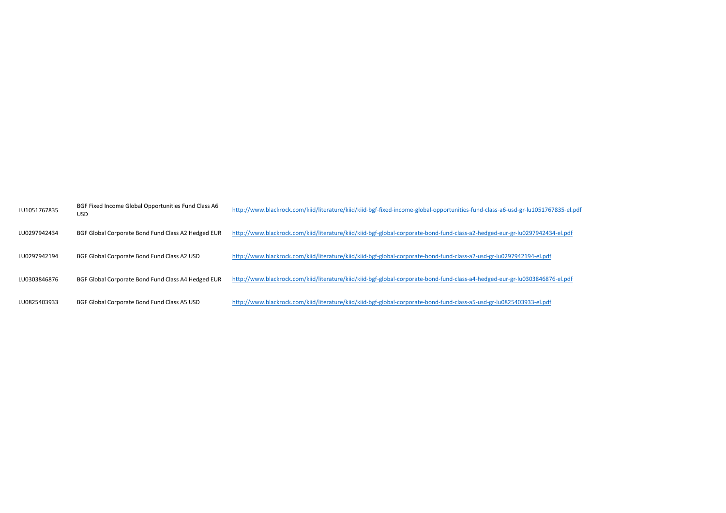| LU1051767835 | BGF Fixed Income Global Opportunities Fund Class A6<br><b>USD</b> | http://www.blackrock.com/kiid/literature/kiid/kiid-bgf-fixed-income-global-opportunities-fund-class-a6-usd-gr-lu1051767835-el.pdf |
|--------------|-------------------------------------------------------------------|-----------------------------------------------------------------------------------------------------------------------------------|
| LU0297942434 | BGF Global Corporate Bond Fund Class A2 Hedged EUR                | http://www.blackrock.com/kiid/literature/kiid/kiid-bgf-global-corporate-bond-fund-class-a2-hedged-eur-gr-lu0297942434-el.pdf      |
| LU0297942194 | BGF Global Corporate Bond Fund Class A2 USD                       | http://www.blackrock.com/kiid/literature/kiid/kiid-bgf-global-corporate-bond-fund-class-a2-usd-gr-lu0297942194-el.pdf             |
| LU0303846876 | BGF Global Corporate Bond Fund Class A4 Hedged EUR                | http://www.blackrock.com/kiid/literature/kiid/kiid-bgf-global-corporate-bond-fund-class-a4-hedged-eur-gr-lu0303846876-el.pdf      |
| LU0825403933 | BGF Global Corporate Bond Fund Class A5 USD                       | http://www.blackrock.com/kiid/literature/kiid/kiid-bgf-global-corporate-bond-fund-class-a5-usd-gr-lu0825403933-el.pdf             |